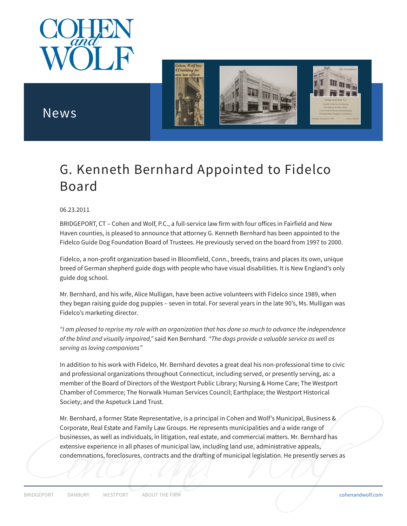



## News

## G. Kenneth Bernhard Appointed to Fidelco Board

## 06.23.2011

BRIDGEPORT, CT – Cohen and Wolf, P.C., a full-service law firm with four offices in Fairfield and New Haven counties, is pleased to announce that attorney G. Kenneth Bernhard has been appointed to the Fidelco Guide Dog Foundation Board of Trustees. He previously served on the board from 1997 to 2000.

Fidelco, a non-profit organization based in Bloomfield, Conn., breeds, trains and places its own, unique breed of German shepherd guide dogs with people who have visual disabilities. It is New England's only guide dog school.

Mr. Bernhard, and his wife, Alice Mulligan, have been active volunteers with Fidelco since 1989, when they began raising guide dog puppies – seven in total. For several years in the late 90's, Ms. Mulligan was Fidelco's marketing director.

*"I am pleased to reprise my role with an organization that has done so much to advance the independence of the blind and visually impaired,"* said Ken Bernhard. *"The dogs provide a valuable service as well as serving as loving companions"*

In addition to his work with Fidelco, Mr. Bernhard devotes a great deal his non-professional time to civic and professional organizations throughout Connecticut, including served, or presently serving, as: a member of the Board of Directors of the Westport Public Library; Nursing & Home Care; The Westport Chamber of Commerce; The Norwalk Human Services Council; Earthplace; the Westport Historical Society; and the Aspetuck Land Trust.

extensive experience in all phases of municipal law, including land use, administrative appeals,<br>
condemnations, foreclosures, contracts and the drafting of municipal legislation. He presently serves as<br>
BRIDGEPORT DANBURY Mr. Bernhard, a former State Representative, is a principal in Cohen and Wolf's Municipal, Business & Corporate, Real Estate and Family Law Groups. He represents municipalities and a wide range of businesses, as well as individuals, in litigation, real estate, and commercial matters. Mr. Bernhard has extensive experience in all phases of municipal law, including land use, administrative appeals, condemnations, foreclosures, contracts and the drafting of municipal legislation. He presently serves as